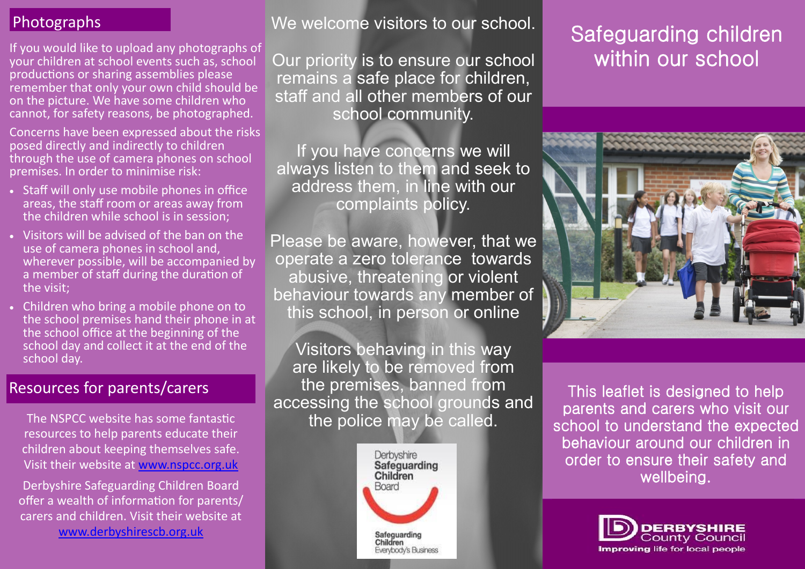If you would like to upload any photographs of your children at school events such as, school productions or sharing assemblies please remember that only your own child should be on the picture. We have some children who cannot, for safety reasons, be photographed.

Concerns have been expressed about the risks posed directly and indirectly to children through the use of camera phones on school premises. In order to minimise risk:

- Staff will only use mobile phones in office areas, the staff room or areas away from the children while school is in session;
- Visitors will be advised of the ban on the use of camera phones in school and, wherever possible, will be accompanied by a member of staff during the duration of the visit;
- Children who bring a mobile phone on to the school premises hand their phone in at the school office at the beginning of the school day and collect it at the end of the school day.

### Resources for parents/carers

The NSPCC website has some fantastic resources to help parents educate their children about keeping themselves safe. Visit their website at [www.nspcc.org.uk](http://www.nspcc.org.uk) 

Derbyshire Safeguarding Children Board offer a wealth of information for parents/ carers and children. Visit their website at [www.derbyshirescb.org.uk](http://www.derbyshirescb.org.uk) 

Photographs We welcome visitors to our school.

Our priority is to ensure our school remains a safe place for children, staff and all other members of our school community.

If you have concerns we will always listen to them and seek to address them, in line with our complaints policy.

Please be aware, however, that we operate a zero tolerance towards abusive, threatening or violent behaviour towards any member of this school, in person or online

Visitors behaving in this way are likely to be removed from the premises, banned from accessing the school grounds and the police may be called.



# Safeguarding children within our school



This leaflet is designed to help parents and carers who visit our school to understand the expected behaviour around our children in order to ensure their safety and wellbeing.